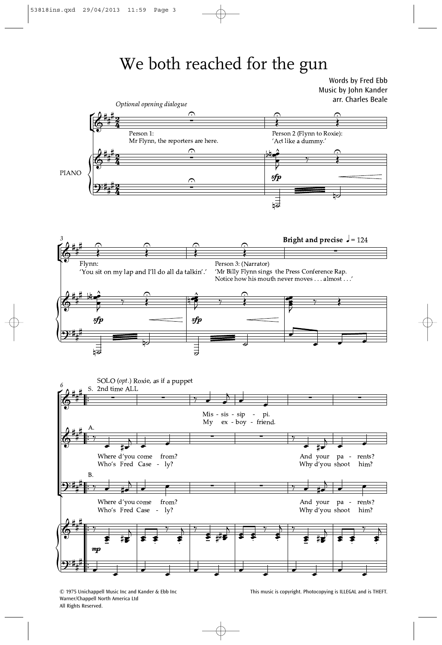## We both reached for the gun

Words by Fred Ebb Music by John Kander



Warner/Chappell North America Ltd All Rights Reserved.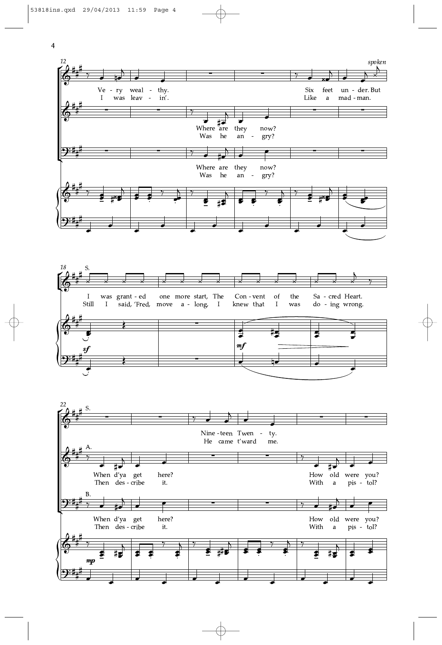